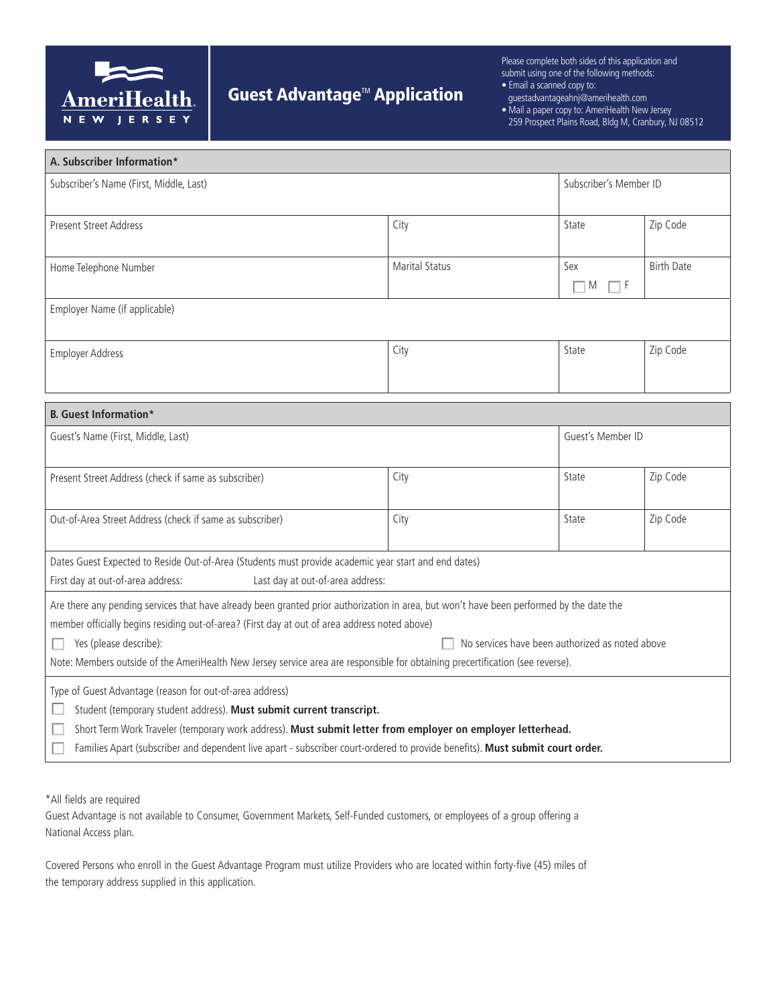

## **Guest Advantage<sup>™</sup> Application**

Please complete both sides of this application and submit using one of the following methods:

- Email a scanned copy to:
- guestadvantageahnj@amerihealth.com
- Mail a paper copy to: AmeriHealth New Jersey 259 Prospect Plains Road, Bldg M, Cranbury, NJ 08512

| A. Subscriber Information*                                                                                                                                                                                                                                                                                                                                                       |                                                 |                             |                   |  |
|----------------------------------------------------------------------------------------------------------------------------------------------------------------------------------------------------------------------------------------------------------------------------------------------------------------------------------------------------------------------------------|-------------------------------------------------|-----------------------------|-------------------|--|
| Subscriber's Name (First, Middle, Last)                                                                                                                                                                                                                                                                                                                                          |                                                 | Subscriber's Member ID      |                   |  |
| <b>Present Street Address</b>                                                                                                                                                                                                                                                                                                                                                    | City                                            | State                       | Zip Code          |  |
| Home Telephone Number                                                                                                                                                                                                                                                                                                                                                            | <b>Marital Status</b>                           | Sex<br>$\Box$ M<br>$\Box$ F | <b>Birth Date</b> |  |
| Employer Name (if applicable)                                                                                                                                                                                                                                                                                                                                                    |                                                 |                             |                   |  |
| <b>Employer Address</b>                                                                                                                                                                                                                                                                                                                                                          | City                                            | State                       | Zip Code          |  |
| <b>B.</b> Guest Information*                                                                                                                                                                                                                                                                                                                                                     |                                                 |                             |                   |  |
| Guest's Name (First, Middle, Last)                                                                                                                                                                                                                                                                                                                                               |                                                 | Guest's Member ID           |                   |  |
| Present Street Address (check if same as subscriber)                                                                                                                                                                                                                                                                                                                             | City                                            | State                       | Zip Code          |  |
| Out-of-Area Street Address (check if same as subscriber)                                                                                                                                                                                                                                                                                                                         | City                                            | State                       | Zip Code          |  |
| Dates Guest Expected to Reside Out-of-Area (Students must provide academic year start and end dates)<br>First day at out-of-area address:<br>Last day at out-of-area address:                                                                                                                                                                                                    |                                                 |                             |                   |  |
| Are there any pending services that have already been granted prior authorization in area, but won't have been performed by the date the<br>member officially begins residing out-of-area? (First day at out of area address noted above)                                                                                                                                        |                                                 |                             |                   |  |
| Yes (please describe):<br>Note: Members outside of the AmeriHealth New Jersey service area are responsible for obtaining precertification (see reverse).                                                                                                                                                                                                                         | No services have been authorized as noted above |                             |                   |  |
| Type of Guest Advantage (reason for out-of-area address)<br>Student (temporary student address). Must submit current transcript.<br>Short Term Work Traveler (temporary work address). Must submit letter from employer on employer letterhead.<br>Families Apart (subscriber and dependent live apart - subscriber court-ordered to provide benefits). Must submit court order. |                                                 |                             |                   |  |

\*All fields are required

Guest Advantage is not available to Consumer, Government Markets, Self-Funded customers, or employees of a group offering a National Access plan.

Covered Persons who enroll in the Guest Advantage Program must utilize Providers who are located within forty-five (45) miles of the temporary address supplied in this application.